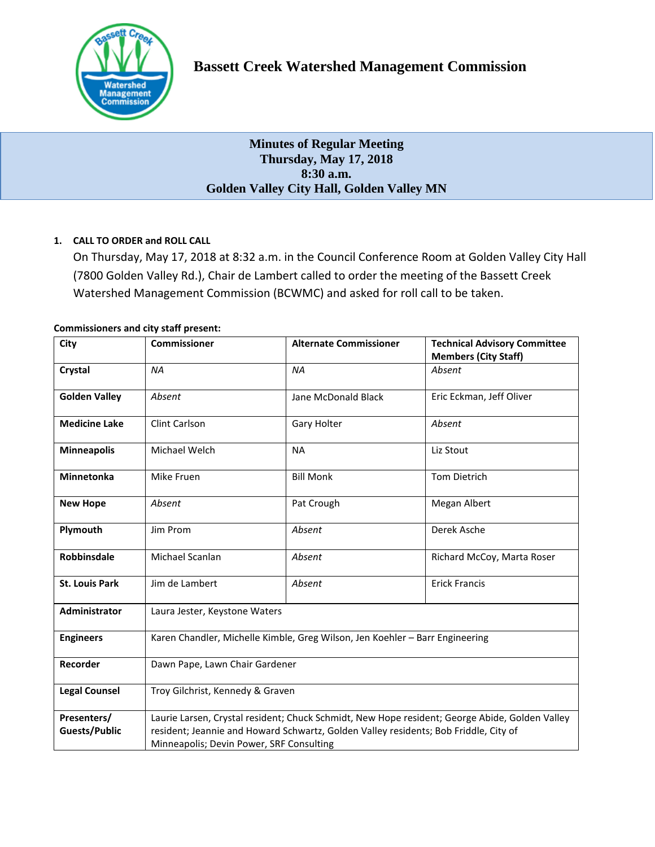

# **Minutes of Regular Meeting Thursday, May 17, 2018 8:30 a.m. Golden Valley City Hall, Golden Valley MN**

# **1. CALL TO ORDER and ROLL CALL**

On Thursday, May 17, 2018 at 8:32 a.m. in the Council Conference Room at Golden Valley City Hall (7800 Golden Valley Rd.), Chair de Lambert called to order the meeting of the Bassett Creek Watershed Management Commission (BCWMC) and asked for roll call to be taken.

# **Commissioners and city staff present:**

| City                  | <b>Commissioner</b>                                                                            | <b>Alternate Commissioner</b> | <b>Technical Advisory Committee</b><br><b>Members (City Staff)</b> |
|-----------------------|------------------------------------------------------------------------------------------------|-------------------------------|--------------------------------------------------------------------|
| Crystal               | <b>NA</b>                                                                                      | <b>NA</b>                     | Absent                                                             |
| <b>Golden Valley</b>  | Absent                                                                                         | Jane McDonald Black           | Eric Eckman, Jeff Oliver                                           |
| <b>Medicine Lake</b>  | <b>Clint Carlson</b>                                                                           | Gary Holter                   | Absent                                                             |
| <b>Minneapolis</b>    | Michael Welch                                                                                  | <b>NA</b>                     | Liz Stout                                                          |
| Minnetonka            | Mike Fruen                                                                                     | <b>Bill Monk</b>              | Tom Dietrich                                                       |
| <b>New Hope</b>       | Absent                                                                                         | Pat Crough                    | Megan Albert                                                       |
| Plymouth              | Jim Prom                                                                                       | Absent                        | Derek Asche                                                        |
| <b>Robbinsdale</b>    | Michael Scanlan                                                                                | Absent                        | Richard McCoy, Marta Roser                                         |
| <b>St. Louis Park</b> | Jim de Lambert                                                                                 | Absent                        | <b>Erick Francis</b>                                               |
| <b>Administrator</b>  | Laura Jester, Keystone Waters                                                                  |                               |                                                                    |
| <b>Engineers</b>      | Karen Chandler, Michelle Kimble, Greg Wilson, Jen Koehler - Barr Engineering                   |                               |                                                                    |
| Recorder              | Dawn Pape, Lawn Chair Gardener                                                                 |                               |                                                                    |
| <b>Legal Counsel</b>  | Troy Gilchrist, Kennedy & Graven                                                               |                               |                                                                    |
| Presenters/           | Laurie Larsen, Crystal resident; Chuck Schmidt, New Hope resident; George Abide, Golden Valley |                               |                                                                    |
| <b>Guests/Public</b>  | resident; Jeannie and Howard Schwartz, Golden Valley residents; Bob Friddle, City of           |                               |                                                                    |
|                       | Minneapolis; Devin Power, SRF Consulting                                                       |                               |                                                                    |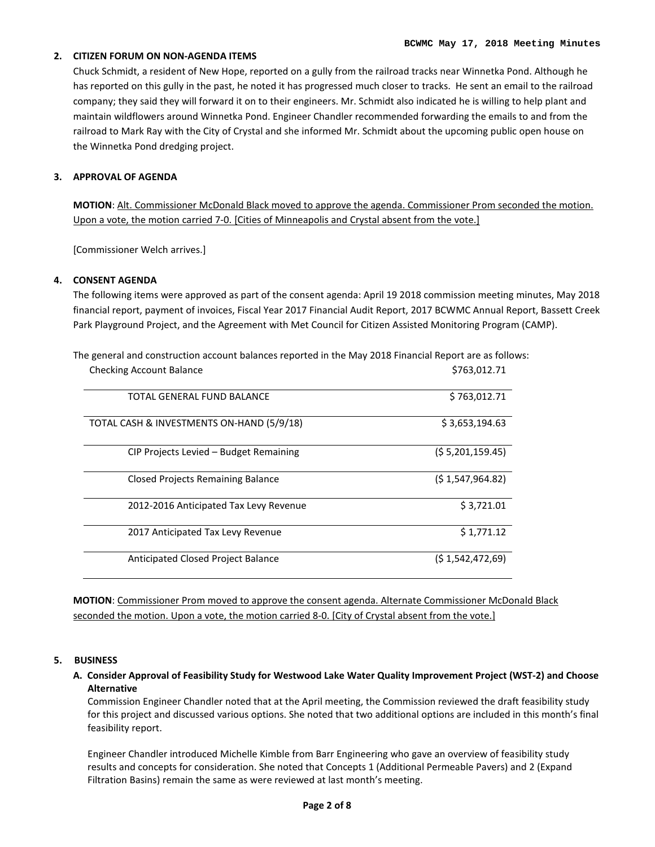# **2. CITIZEN FORUM ON NON-AGENDA ITEMS**

Chuck Schmidt, a resident of New Hope, reported on a gully from the railroad tracks near Winnetka Pond. Although he has reported on this gully in the past, he noted it has progressed much closer to tracks. He sent an email to the railroad company; they said they will forward it on to their engineers. Mr. Schmidt also indicated he is willing to help plant and maintain wildflowers around Winnetka Pond. Engineer Chandler recommended forwarding the emails to and from the railroad to Mark Ray with the City of Crystal and she informed Mr. Schmidt about the upcoming public open house on the Winnetka Pond dredging project.

# **3. APPROVAL OF AGENDA**

**MOTION**: Alt. Commissioner McDonald Black moved to approve the agenda. Commissioner Prom seconded the motion. Upon a vote, the motion carried 7-0. [Cities of Minneapolis and Crystal absent from the vote.]

[Commissioner Welch arrives.]

# **4. CONSENT AGENDA**

The following items were approved as part of the consent agenda: April 19 2018 commission meeting minutes, May 2018 financial report, payment of invoices, Fiscal Year 2017 Financial Audit Report, 2017 BCWMC Annual Report, Bassett Creek Park Playground Project, and the Agreement with Met Council for Citizen Assisted Monitoring Program (CAMP).

| The general and construction account balances reported in the May 2018 Financial Report are as follows: |              |
|---------------------------------------------------------------------------------------------------------|--------------|
| <b>Checking Account Balance</b>                                                                         | \$763.012.71 |

| TOTAL GENERAL FUND BALANCE                | \$763,012.71    |
|-------------------------------------------|-----------------|
| TOTAL CASH & INVESTMENTS ON-HAND (5/9/18) | \$3,653,194.63  |
| CIP Projects Levied – Budget Remaining    | (55,201,159.45) |
| Closed Projects Remaining Balance         | (51,547,964.82) |
| 2012-2016 Anticipated Tax Levy Revenue    | \$3,721.01      |
| 2017 Anticipated Tax Levy Revenue         | \$1,771.12      |
| Anticipated Closed Project Balance        | (51,542,472,69) |

**MOTION**: Commissioner Prom moved to approve the consent agenda. Alternate Commissioner McDonald Black seconded the motion. Upon a vote, the motion carried 8-0. [City of Crystal absent from the vote.]

# **5. BUSINESS**

**A. Consider Approval of Feasibility Study for Westwood Lake Water Quality Improvement Project (WST-2) and Choose Alternative** 

Commission Engineer Chandler noted that at the April meeting, the Commission reviewed the draft feasibility study for this project and discussed various options. She noted that two additional options are included in this month's final feasibility report.

Engineer Chandler introduced Michelle Kimble from Barr Engineering who gave an overview of feasibility study results and concepts for consideration. She noted that Concepts 1 (Additional Permeable Pavers) and 2 (Expand Filtration Basins) remain the same as were reviewed at last month's meeting.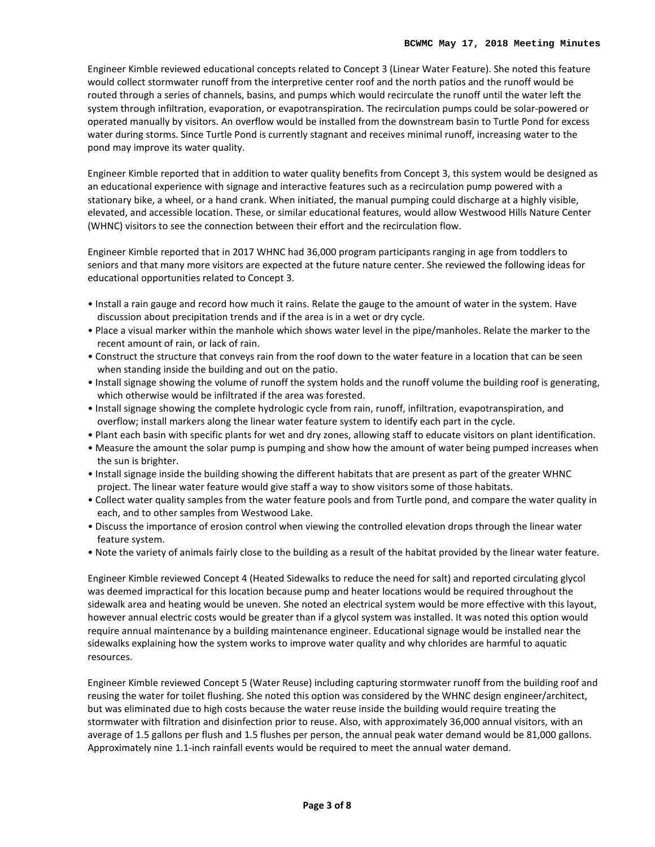Engineer Kimble reviewed educational concepts related to Concept 3 (Linear Water Feature). She noted this feature would collect stormwater runoff from the interpretive center roof and the north patios and the runoff would be routed through a series of channels, basins, and pumps which would recirculate the runoff until the water left the system through infiltration, evaporation, or evapotranspiration. The recirculation pumps could be solar-powered or operated manually by visitors. An overflow would be installed from the downstream basin to Turtle Pond for excess water during storms. Since Turtle Pond is currently stagnant and receives minimal runoff, increasing water to the pond may improve its water quality.

Engineer Kimble reported that in addition to water quality benefits from Concept 3, this system would be designed as an educational experience with signage and interactive features such as a recirculation pump powered with a stationary bike, a wheel, or a hand crank. When initiated, the manual pumping could discharge at a highly visible, elevated, and accessible location. These, or similar educational features, would allow Westwood Hills Nature Center (WHNC) visitors to see the connection between their effort and the recirculation flow.

Engineer Kimble reported that in 2017 WHNC had 36,000 program participants ranging in age from toddlers to seniors and that many more visitors are expected at the future nature center. She reviewed the following ideas for educational opportunities related to Concept 3.

- Install a rain gauge and record how much it rains. Relate the gauge to the amount of water in the system. Have discussion about precipitation trends and if the area is in a wet or dry cycle.
- Place a visual marker within the manhole which shows water level in the pipe/manholes. Relate the marker to the recent amount of rain, or lack of rain.
- Construct the structure that conveys rain from the roof down to the water feature in a location that can be seen when standing inside the building and out on the patio.
- Install signage showing the volume of runoff the system holds and the runoff volume the building roof is generating, which otherwise would be infiltrated if the area was forested.
- Install signage showing the complete hydrologic cycle from rain, runoff, infiltration, evapotranspiration, and overflow; install markers along the linear water feature system to identify each part in the cycle.
- Plant each basin with specific plants for wet and dry zones, allowing staff to educate visitors on plant identification.
- Measure the amount the solar pump is pumping and show how the amount of water being pumped increases when the sun is brighter.
- Install signage inside the building showing the different habitats that are present as part of the greater WHNC project. The linear water feature would give staff a way to show visitors some of those habitats.
- Collect water quality samples from the water feature pools and from Turtle pond, and compare the water quality in each, and to other samples from Westwood Lake.
- Discuss the importance of erosion control when viewing the controlled elevation drops through the linear water feature system.
- Note the variety of animals fairly close to the building as a result of the habitat provided by the linear water feature.

Engineer Kimble reviewed Concept 4 (Heated Sidewalks to reduce the need for salt) and reported circulating glycol was deemed impractical for this location because pump and heater locations would be required throughout the sidewalk area and heating would be uneven. She noted an electrical system would be more effective with this layout, however annual electric costs would be greater than if a glycol system was installed. It was noted this option would require annual maintenance by a building maintenance engineer. Educational signage would be installed near the sidewalks explaining how the system works to improve water quality and why chlorides are harmful to aquatic resources.

Engineer Kimble reviewed Concept 5 (Water Reuse) including capturing stormwater runoff from the building roof and reusing the water for toilet flushing. She noted this option was considered by the WHNC design engineer/architect, but was eliminated due to high costs because the water reuse inside the building would require treating the stormwater with filtration and disinfection prior to reuse. Also, with approximately 36,000 annual visitors, with an average of 1.5 gallons per flush and 1.5 flushes per person, the annual peak water demand would be 81,000 gallons. Approximately nine 1.1-inch rainfall events would be required to meet the annual water demand.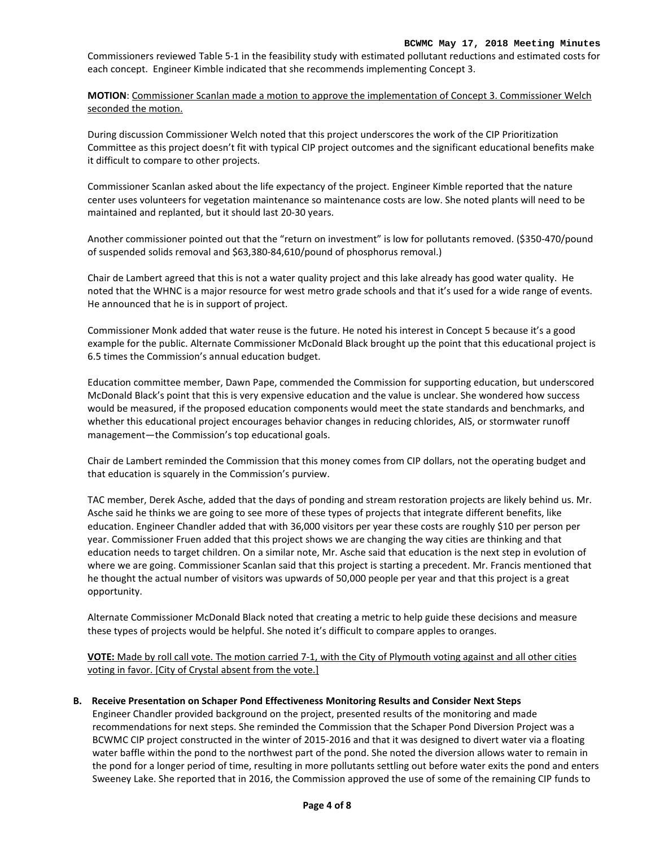#### **BCWMC May 17, 2018 Meeting Minutes**

Commissioners reviewed Table 5-1 in the feasibility study with estimated pollutant reductions and estimated costs for each concept. Engineer Kimble indicated that she recommends implementing Concept 3.

**MOTION**: Commissioner Scanlan made a motion to approve the implementation of Concept 3. Commissioner Welch seconded the motion.

During discussion Commissioner Welch noted that this project underscores the work of the CIP Prioritization Committee as this project doesn't fit with typical CIP project outcomes and the significant educational benefits make it difficult to compare to other projects.

Commissioner Scanlan asked about the life expectancy of the project. Engineer Kimble reported that the nature center uses volunteers for vegetation maintenance so maintenance costs are low. She noted plants will need to be maintained and replanted, but it should last 20-30 years.

Another commissioner pointed out that the "return on investment" is low for pollutants removed. (\$350-470/pound of suspended solids removal and \$63,380-84,610/pound of phosphorus removal.)

Chair de Lambert agreed that this is not a water quality project and this lake already has good water quality. He noted that the WHNC is a major resource for west metro grade schools and that it's used for a wide range of events. He announced that he is in support of project.

Commissioner Monk added that water reuse is the future. He noted his interest in Concept 5 because it's a good example for the public. Alternate Commissioner McDonald Black brought up the point that this educational project is 6.5 times the Commission's annual education budget.

Education committee member, Dawn Pape, commended the Commission for supporting education, but underscored McDonald Black's point that this is very expensive education and the value is unclear. She wondered how success would be measured, if the proposed education components would meet the state standards and benchmarks, and whether this educational project encourages behavior changes in reducing chlorides, AIS, or stormwater runoff management—the Commission's top educational goals.

Chair de Lambert reminded the Commission that this money comes from CIP dollars, not the operating budget and that education is squarely in the Commission's purview.

TAC member, Derek Asche, added that the days of ponding and stream restoration projects are likely behind us. Mr. Asche said he thinks we are going to see more of these types of projects that integrate different benefits, like education. Engineer Chandler added that with 36,000 visitors per year these costs are roughly \$10 per person per year. Commissioner Fruen added that this project shows we are changing the way cities are thinking and that education needs to target children. On a similar note, Mr. Asche said that education is the next step in evolution of where we are going. Commissioner Scanlan said that this project is starting a precedent. Mr. Francis mentioned that he thought the actual number of visitors was upwards of 50,000 people per year and that this project is a great opportunity.

Alternate Commissioner McDonald Black noted that creating a metric to help guide these decisions and measure these types of projects would be helpful. She noted it's difficult to compare apples to oranges.

**VOTE:** Made by roll call vote. The motion carried 7-1, with the City of Plymouth voting against and all other cities voting in favor. [City of Crystal absent from the vote.]

# **B. Receive Presentation on Schaper Pond Effectiveness Monitoring Results and Consider Next Steps**

Engineer Chandler provided background on the project, presented results of the monitoring and made recommendations for next steps. She reminded the Commission that the Schaper Pond Diversion Project was a BCWMC CIP project constructed in the winter of 2015-2016 and that it was designed to divert water via a floating water baffle within the pond to the northwest part of the pond. She noted the diversion allows water to remain in the pond for a longer period of time, resulting in more pollutants settling out before water exits the pond and enters Sweeney Lake. She reported that in 2016, the Commission approved the use of some of the remaining CIP funds to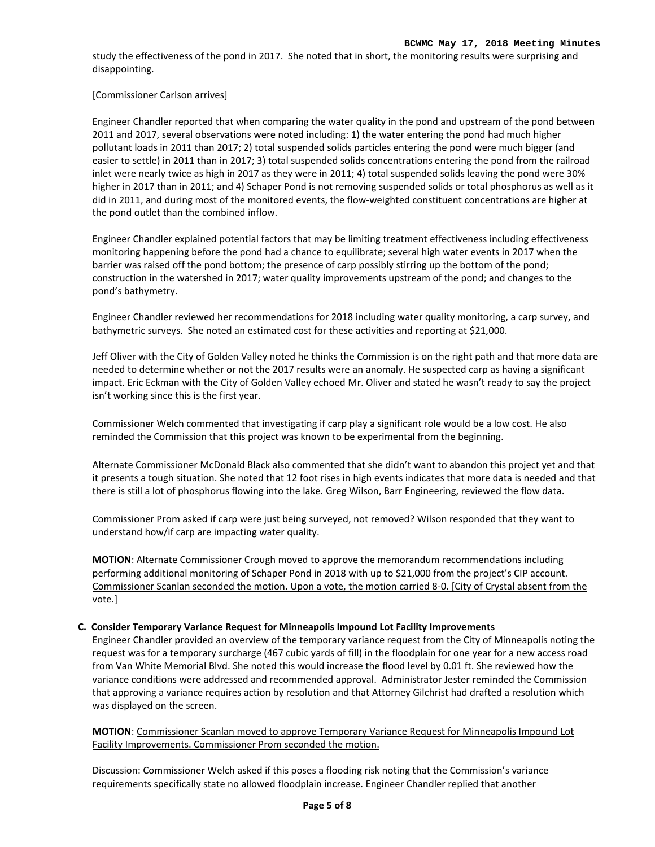study the effectiveness of the pond in 2017. She noted that in short, the monitoring results were surprising and disappointing.

# [Commissioner Carlson arrives]

Engineer Chandler reported that when comparing the water quality in the pond and upstream of the pond between 2011 and 2017, several observations were noted including: 1) the water entering the pond had much higher pollutant loads in 2011 than 2017; 2) total suspended solids particles entering the pond were much bigger (and easier to settle) in 2011 than in 2017; 3) total suspended solids concentrations entering the pond from the railroad inlet were nearly twice as high in 2017 as they were in 2011; 4) total suspended solids leaving the pond were 30% higher in 2017 than in 2011; and 4) Schaper Pond is not removing suspended solids or total phosphorus as well as it did in 2011, and during most of the monitored events, the flow-weighted constituent concentrations are higher at the pond outlet than the combined inflow.

Engineer Chandler explained potential factors that may be limiting treatment effectiveness including effectiveness monitoring happening before the pond had a chance to equilibrate; several high water events in 2017 when the barrier was raised off the pond bottom; the presence of carp possibly stirring up the bottom of the pond; construction in the watershed in 2017; water quality improvements upstream of the pond; and changes to the pond's bathymetry.

Engineer Chandler reviewed her recommendations for 2018 including water quality monitoring, a carp survey, and bathymetric surveys. She noted an estimated cost for these activities and reporting at \$21,000.

Jeff Oliver with the City of Golden Valley noted he thinks the Commission is on the right path and that more data are needed to determine whether or not the 2017 results were an anomaly. He suspected carp as having a significant impact. Eric Eckman with the City of Golden Valley echoed Mr. Oliver and stated he wasn't ready to say the project isn't working since this is the first year.

Commissioner Welch commented that investigating if carp play a significant role would be a low cost. He also reminded the Commission that this project was known to be experimental from the beginning.

Alternate Commissioner McDonald Black also commented that she didn't want to abandon this project yet and that it presents a tough situation. She noted that 12 foot rises in high events indicates that more data is needed and that there is still a lot of phosphorus flowing into the lake. Greg Wilson, Barr Engineering, reviewed the flow data.

Commissioner Prom asked if carp were just being surveyed, not removed? Wilson responded that they want to understand how/if carp are impacting water quality.

**MOTION**: Alternate Commissioner Crough moved to approve the memorandum recommendations including performing additional monitoring of Schaper Pond in 2018 with up to \$21,000 from the project's CIP account. Commissioner Scanlan seconded the motion. Upon a vote, the motion carried 8-0. [City of Crystal absent from the vote.]

### **C. Consider Temporary Variance Request for Minneapolis Impound Lot Facility Improvements**

Engineer Chandler provided an overview of the temporary variance request from the City of Minneapolis noting the request was for a temporary surcharge (467 cubic yards of fill) in the floodplain for one year for a new access road from Van White Memorial Blvd. She noted this would increase the flood level by 0.01 ft. She reviewed how the variance conditions were addressed and recommended approval. Administrator Jester reminded the Commission that approving a variance requires action by resolution and that Attorney Gilchrist had drafted a resolution which was displayed on the screen.

**MOTION**: Commissioner Scanlan moved to approve Temporary Variance Request for Minneapolis Impound Lot Facility Improvements. Commissioner Prom seconded the motion.

Discussion: Commissioner Welch asked if this poses a flooding risk noting that the Commission's variance requirements specifically state no allowed floodplain increase. Engineer Chandler replied that another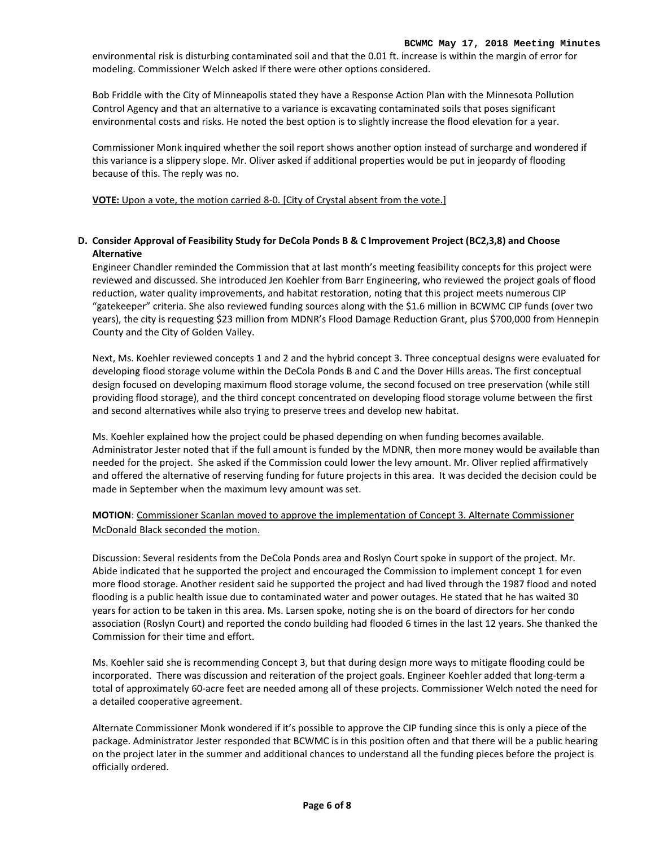environmental risk is disturbing contaminated soil and that the 0.01 ft. increase is within the margin of error for modeling. Commissioner Welch asked if there were other options considered.

Bob Friddle with the City of Minneapolis stated they have a Response Action Plan with the Minnesota Pollution Control Agency and that an alternative to a variance is excavating contaminated soils that poses significant environmental costs and risks. He noted the best option is to slightly increase the flood elevation for a year.

Commissioner Monk inquired whether the soil report shows another option instead of surcharge and wondered if this variance is a slippery slope. Mr. Oliver asked if additional properties would be put in jeopardy of flooding because of this. The reply was no.

## **VOTE:** Upon a vote, the motion carried 8-0. [City of Crystal absent from the vote.]

# **D. Consider Approval of Feasibility Study for DeCola Ponds B & C Improvement Project (BC2,3,8) and Choose Alternative**

Engineer Chandler reminded the Commission that at last month's meeting feasibility concepts for this project were reviewed and discussed. She introduced Jen Koehler from Barr Engineering, who reviewed the project goals of flood reduction, water quality improvements, and habitat restoration, noting that this project meets numerous CIP "gatekeeper" criteria. She also reviewed funding sources along with the \$1.6 million in BCWMC CIP funds (over two years), the city is requesting \$23 million from MDNR's Flood Damage Reduction Grant, plus \$700,000 from Hennepin County and the City of Golden Valley.

Next, Ms. Koehler reviewed concepts 1 and 2 and the hybrid concept 3. Three conceptual designs were evaluated for developing flood storage volume within the DeCola Ponds B and C and the Dover Hills areas. The first conceptual design focused on developing maximum flood storage volume, the second focused on tree preservation (while still providing flood storage), and the third concept concentrated on developing flood storage volume between the first and second alternatives while also trying to preserve trees and develop new habitat.

Ms. Koehler explained how the project could be phased depending on when funding becomes available. Administrator Jester noted that if the full amount is funded by the MDNR, then more money would be available than needed for the project. She asked if the Commission could lower the levy amount. Mr. Oliver replied affirmatively and offered the alternative of reserving funding for future projects in this area. It was decided the decision could be made in September when the maximum levy amount was set.

# **MOTION**: Commissioner Scanlan moved to approve the implementation of Concept 3. Alternate Commissioner McDonald Black seconded the motion.

Discussion: Several residents from the DeCola Ponds area and Roslyn Court spoke in support of the project. Mr. Abide indicated that he supported the project and encouraged the Commission to implement concept 1 for even more flood storage. Another resident said he supported the project and had lived through the 1987 flood and noted flooding is a public health issue due to contaminated water and power outages. He stated that he has waited 30 years for action to be taken in this area. Ms. Larsen spoke, noting she is on the board of directors for her condo association (Roslyn Court) and reported the condo building had flooded 6 times in the last 12 years. She thanked the Commission for their time and effort.

Ms. Koehler said she is recommending Concept 3, but that during design more ways to mitigate flooding could be incorporated. There was discussion and reiteration of the project goals. Engineer Koehler added that long-term a total of approximately 60-acre feet are needed among all of these projects. Commissioner Welch noted the need for a detailed cooperative agreement.

Alternate Commissioner Monk wondered if it's possible to approve the CIP funding since this is only a piece of the package. Administrator Jester responded that BCWMC is in this position often and that there will be a public hearing on the project later in the summer and additional chances to understand all the funding pieces before the project is officially ordered.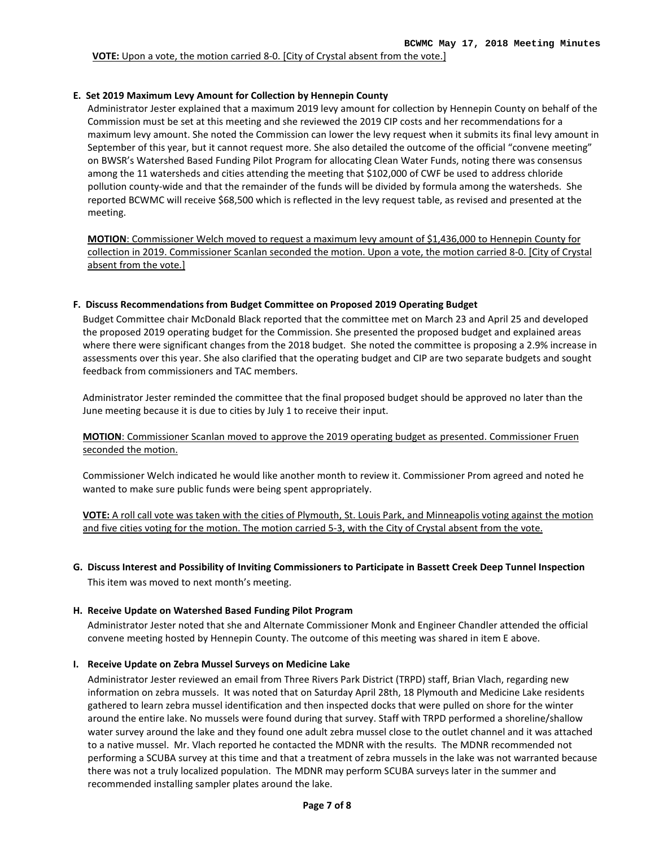**VOTE:** Upon a vote, the motion carried 8-0. [City of Crystal absent from the vote.]

## **E. Set 2019 Maximum Levy Amount for Collection by Hennepin County**

Administrator Jester explained that a maximum 2019 levy amount for collection by Hennepin County on behalf of the Commission must be set at this meeting and she reviewed the 2019 CIP costs and her recommendations for a maximum levy amount. She noted the Commission can lower the levy request when it submits its final levy amount in September of this year, but it cannot request more. She also detailed the outcome of the official "convene meeting" on BWSR's Watershed Based Funding Pilot Program for allocating Clean Water Funds, noting there was consensus among the 11 watersheds and cities attending the meeting that \$102,000 of CWF be used to address chloride pollution county-wide and that the remainder of the funds will be divided by formula among the watersheds. She reported BCWMC will receive \$68,500 which is reflected in the levy request table, as revised and presented at the meeting.

**MOTION**: Commissioner Welch moved to request a maximum levy amount of \$1,436,000 to Hennepin County for collection in 2019. Commissioner Scanlan seconded the motion. Upon a vote, the motion carried 8-0. [City of Crystal absent from the vote.]

# **F. Discuss Recommendations from Budget Committee on Proposed 2019 Operating Budget**

Budget Committee chair McDonald Black reported that the committee met on March 23 and April 25 and developed the proposed 2019 operating budget for the Commission. She presented the proposed budget and explained areas where there were significant changes from the 2018 budget. She noted the committee is proposing a 2.9% increase in assessments over this year. She also clarified that the operating budget and CIP are two separate budgets and sought feedback from commissioners and TAC members.

Administrator Jester reminded the committee that the final proposed budget should be approved no later than the June meeting because it is due to cities by July 1 to receive their input.

**MOTION**: Commissioner Scanlan moved to approve the 2019 operating budget as presented. Commissioner Fruen seconded the motion.

Commissioner Welch indicated he would like another month to review it. Commissioner Prom agreed and noted he wanted to make sure public funds were being spent appropriately.

**VOTE:** A roll call vote was taken with the cities of Plymouth, St. Louis Park, and Minneapolis voting against the motion and five cities voting for the motion. The motion carried 5-3, with the City of Crystal absent from the vote.

**G. Discuss Interest and Possibility of Inviting Commissioners to Participate in Bassett Creek Deep Tunnel Inspection** This item was moved to next month's meeting.

### **H. Receive Update on Watershed Based Funding Pilot Program**

Administrator Jester noted that she and Alternate Commissioner Monk and Engineer Chandler attended the official convene meeting hosted by Hennepin County. The outcome of this meeting was shared in item E above.

### **I. Receive Update on Zebra Mussel Surveys on Medicine Lake**

Administrator Jester reviewed an email from Three Rivers Park District (TRPD) staff, Brian Vlach, regarding new information on zebra mussels. It was noted that on Saturday April 28th, 18 Plymouth and Medicine Lake residents gathered to learn zebra mussel identification and then inspected docks that were pulled on shore for the winter around the entire lake. No mussels were found during that survey. Staff with TRPD performed a shoreline/shallow water survey around the lake and they found one adult zebra mussel close to the outlet channel and it was attached to a native mussel. Mr. Vlach reported he contacted the MDNR with the results. The MDNR recommended not performing a SCUBA survey at this time and that a treatment of zebra mussels in the lake was not warranted because there was not a truly localized population. The MDNR may perform SCUBA surveys later in the summer and recommended installing sampler plates around the lake.